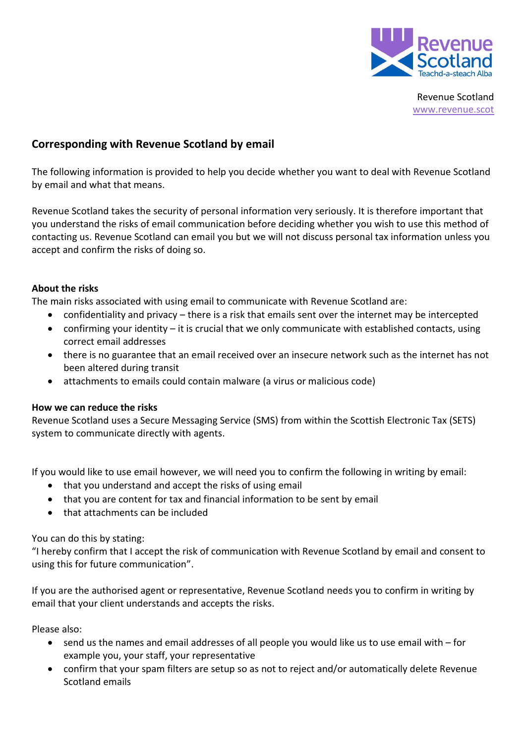

Revenue Scotland [www.revenue.scot](https://www.revenue.scot/)

# **Corresponding with Revenue Scotland by email**

The following information is provided to help you decide whether you want to deal with Revenue Scotland by email and what that means.

Revenue Scotland takes the security of personal information very seriously. It is therefore important that you understand the risks of email communication before deciding whether you wish to use this method of contacting us. Revenue Scotland can email you but we will not discuss personal tax information unless you accept and confirm the risks of doing so.

## **About the risks**

The main risks associated with using email to communicate with Revenue Scotland are:

- confidentiality and privacy there is a risk that emails sent over the internet may be intercepted
- confirming your identity it is crucial that we only communicate with established contacts, using correct email addresses
- there is no guarantee that an email received over an insecure network such as the internet has not been altered during transit
- attachments to emails could contain malware (a virus or malicious code)

## **How we can reduce the risks**

Revenue Scotland uses a Secure Messaging Service (SMS) from within the Scottish Electronic Tax (SETS) system to communicate directly with agents.

If you would like to use email however, we will need you to confirm the following in writing by email:

- that you understand and accept the risks of using email
- that you are content for tax and financial information to be sent by email
- that attachments can be included

You can do this by stating:

"I hereby confirm that I accept the risk of communication with Revenue Scotland by email and consent to using this for future communication".

If you are the authorised agent or representative, Revenue Scotland needs you to confirm in writing by email that your client understands and accepts the risks.

Please also:

- send us the names and email addresses of all people you would like us to use email with for example you, your staff, your representative
- confirm that your spam filters are setup so as not to reject and/or automatically delete Revenue Scotland emails